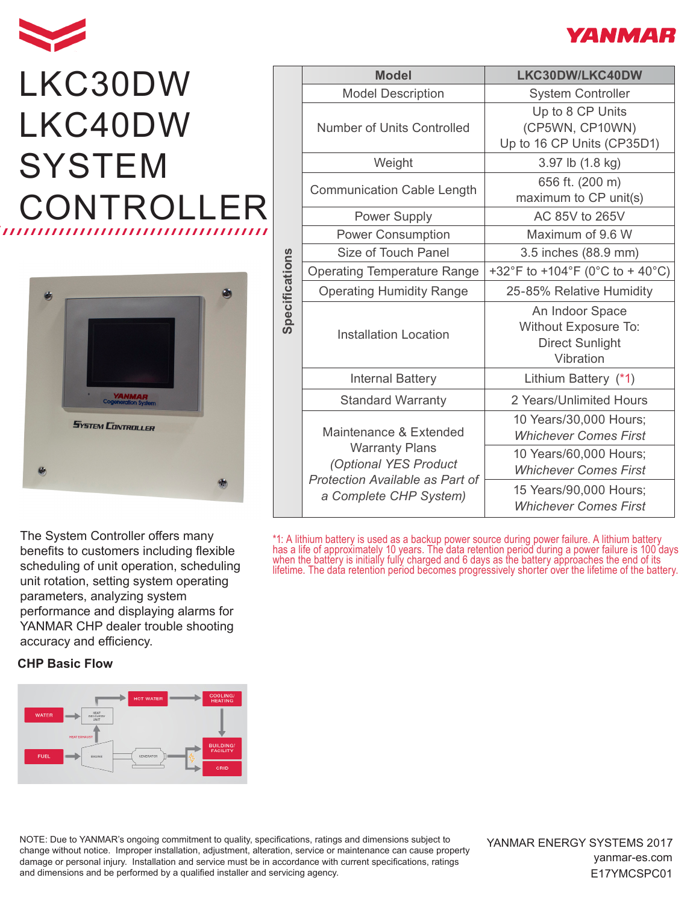

## LKC30DW LKC40DW **SYSTEM** CONTROLL



The System Controller offers many benefits to customers including flexible scheduling of unit operation, scheduling unit rotation, setting system operating parameters, analyzing system performance and displaying alarms for YANMAR CHP dealer trouble shooting accuracy and efficiency.

## **CHP Basic Flow**



|                | <b>Model</b>                                                                                                                          | LKC30DW/LKC40DW                                                                |  |
|----------------|---------------------------------------------------------------------------------------------------------------------------------------|--------------------------------------------------------------------------------|--|
| Specifications | <b>Model Description</b>                                                                                                              | <b>System Controller</b>                                                       |  |
|                | <b>Number of Units Controlled</b>                                                                                                     | Up to 8 CP Units<br>(CP5WN, CP10WN)<br>Up to 16 CP Units (CP35D1)              |  |
|                | Weight                                                                                                                                | 3.97 lb (1.8 kg)                                                               |  |
|                | <b>Communication Cable Length</b>                                                                                                     | 656 ft. (200 m)<br>maximum to CP unit(s)                                       |  |
|                | <b>Power Supply</b>                                                                                                                   | AC 85V to 265V                                                                 |  |
|                | <b>Power Consumption</b>                                                                                                              | Maximum of 9.6 W                                                               |  |
|                | Size of Touch Panel                                                                                                                   | 3.5 inches (88.9 mm)                                                           |  |
|                | <b>Operating Temperature Range</b>                                                                                                    | +32°F to +104°F (0°C to + 40°C)                                                |  |
|                | <b>Operating Humidity Range</b>                                                                                                       | 25-85% Relative Humidity                                                       |  |
|                | <b>Installation Location</b>                                                                                                          | An Indoor Space<br>Without Exposure To:<br><b>Direct Sunlight</b><br>Vibration |  |
|                | <b>Internal Battery</b>                                                                                                               | Lithium Battery (*1)                                                           |  |
|                | <b>Standard Warranty</b>                                                                                                              | 2 Years/Unlimited Hours                                                        |  |
|                | Maintenance & Extended<br><b>Warranty Plans</b><br>(Optional YES Product<br>Protection Available as Part of<br>a Complete CHP System) | 10 Years/30,000 Hours;<br><b>Whichever Comes First</b>                         |  |
|                |                                                                                                                                       | 10 Years/60,000 Hours;<br><b>Whichever Comes First</b>                         |  |
|                |                                                                                                                                       | 15 Years/90,000 Hours;<br><b>Whichever Comes First</b>                         |  |

\*1: A lithium battery is used as a backup power source during power failure. A lithium battery has a life of approximately 10 years. The data retention period during a power failure is 100 days when the battery is initially fully charged and 6 days as the battery approaches the end of its lifetime. The data retention period becomes progressively shorter over the lifetime of the battery.

NOTE: Due to YANMAR's ongoing commitment to quality, specifications, ratings and dimensions subject to change without notice. Improper installation, adjustment, alteration, service or maintenance can cause property damage or personal injury. Installation and service must be in accordance with current specifications, ratings and dimensions and be performed by a qualified installer and servicing agency.

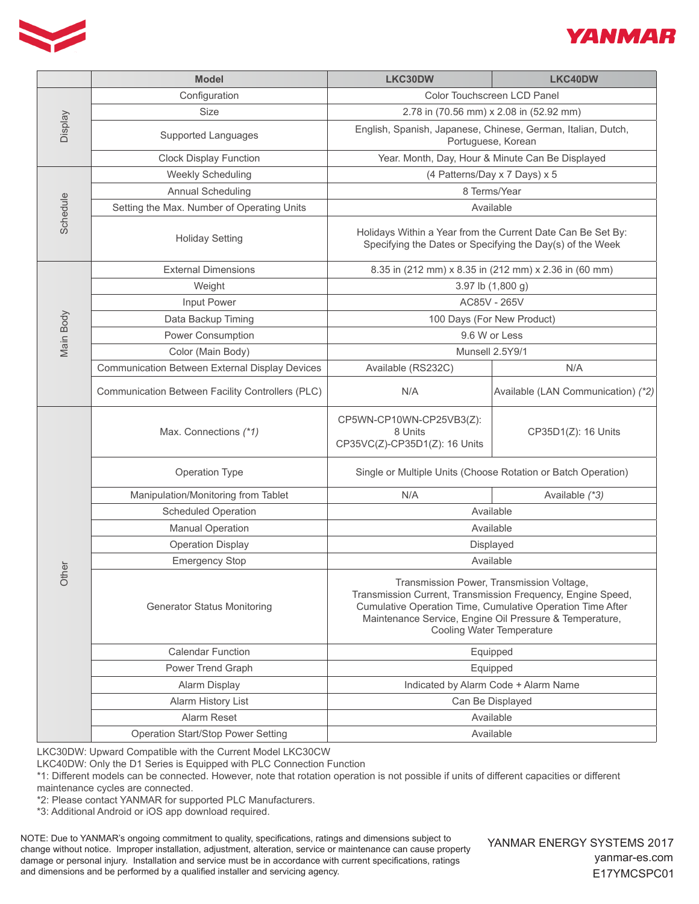



|                | <b>Model</b>                                          | LKC30DW                                                                                                                                                                                                                                                        | LKC40DW                            |
|----------------|-------------------------------------------------------|----------------------------------------------------------------------------------------------------------------------------------------------------------------------------------------------------------------------------------------------------------------|------------------------------------|
|                | Configuration                                         | Color Touchscreen LCD Panel                                                                                                                                                                                                                                    |                                    |
|                | <b>Size</b>                                           | 2.78 in (70.56 mm) x 2.08 in (52.92 mm)                                                                                                                                                                                                                        |                                    |
| <b>Display</b> | <b>Supported Languages</b>                            | English, Spanish, Japanese, Chinese, German, Italian, Dutch,<br>Portuguese, Korean                                                                                                                                                                             |                                    |
|                | <b>Clock Display Function</b>                         | Year. Month, Day, Hour & Minute Can Be Displayed                                                                                                                                                                                                               |                                    |
|                | <b>Weekly Scheduling</b>                              | (4 Patterns/Day x 7 Days) x 5                                                                                                                                                                                                                                  |                                    |
|                | <b>Annual Scheduling</b>                              | 8 Terms/Year                                                                                                                                                                                                                                                   |                                    |
| Schedule       | Setting the Max. Number of Operating Units            | Available                                                                                                                                                                                                                                                      |                                    |
|                | <b>Holiday Setting</b>                                | Holidays Within a Year from the Current Date Can Be Set By:<br>Specifying the Dates or Specifying the Day(s) of the Week                                                                                                                                       |                                    |
|                | <b>External Dimensions</b>                            | 8.35 in (212 mm) x 8.35 in (212 mm) x 2.36 in (60 mm)                                                                                                                                                                                                          |                                    |
|                | Weight                                                | 3.97 lb (1,800 g)                                                                                                                                                                                                                                              |                                    |
|                | Input Power                                           | AC85V - 265V                                                                                                                                                                                                                                                   |                                    |
|                | Data Backup Timing                                    | 100 Days (For New Product)                                                                                                                                                                                                                                     |                                    |
| Main Body      | <b>Power Consumption</b>                              | 9.6 W or Less                                                                                                                                                                                                                                                  |                                    |
|                | Color (Main Body)                                     | Munsell 2.5Y9/1                                                                                                                                                                                                                                                |                                    |
|                | <b>Communication Between External Display Devices</b> | Available (RS232C)                                                                                                                                                                                                                                             | N/A                                |
|                | Communication Between Facility Controllers (PLC)      | N/A                                                                                                                                                                                                                                                            | Available (LAN Communication) (*2) |
|                | Max. Connections (*1)                                 | CP5WN-CP10WN-CP25VB3(Z):<br>8 Units<br>CP35VC(Z)-CP35D1(Z): 16 Units                                                                                                                                                                                           | CP35D1(Z): 16 Units                |
|                | Operation Type                                        | Single or Multiple Units (Choose Rotation or Batch Operation)                                                                                                                                                                                                  |                                    |
|                | Manipulation/Monitoring from Tablet                   | N/A                                                                                                                                                                                                                                                            | Available (*3)                     |
|                | <b>Scheduled Operation</b>                            | Available                                                                                                                                                                                                                                                      |                                    |
|                | <b>Manual Operation</b>                               | Available                                                                                                                                                                                                                                                      |                                    |
|                | <b>Operation Display</b>                              | Displayed                                                                                                                                                                                                                                                      |                                    |
|                | <b>Emergency Stop</b>                                 | Available                                                                                                                                                                                                                                                      |                                    |
| Other          | <b>Generator Status Monitoring</b>                    | Transmission Power, Transmission Voltage,<br>Transmission Current, Transmission Frequency, Engine Speed,<br>Cumulative Operation Time, Cumulative Operation Time After<br>Maintenance Service, Engine Oil Pressure & Temperature,<br>Cooling Water Temperature |                                    |
|                | <b>Calendar Function</b>                              | Equipped                                                                                                                                                                                                                                                       |                                    |
|                | Power Trend Graph                                     | Equipped                                                                                                                                                                                                                                                       |                                    |
|                | <b>Alarm Display</b>                                  | Indicated by Alarm Code + Alarm Name                                                                                                                                                                                                                           |                                    |
|                | Alarm History List                                    | Can Be Displayed                                                                                                                                                                                                                                               |                                    |
|                | <b>Alarm Reset</b>                                    | Available                                                                                                                                                                                                                                                      |                                    |
|                | <b>Operation Start/Stop Power Setting</b>             | Available                                                                                                                                                                                                                                                      |                                    |

LKC30DW: Upward Compatible with the Current Model LKC30CW

LKC40DW: Only the D1 Series is Equipped with PLC Connection Function

\*1: Different models can be connected. However, note that rotation operation is not possible if units of different capacities or different maintenance cycles are connected.

\*2: Please contact YANMAR for supported PLC Manufacturers.

\*3: Additional Android or iOS app download required.

NOTE: Due to YANMAR's ongoing commitment to quality, specifications, ratings and dimensions subject to change without notice. Improper installation, adjustment, alteration, service or maintenance can cause property damage or personal injury. Installation and service must be in accordance with current specifications, ratings and dimensions and be performed by a qualified installer and servicing agency.